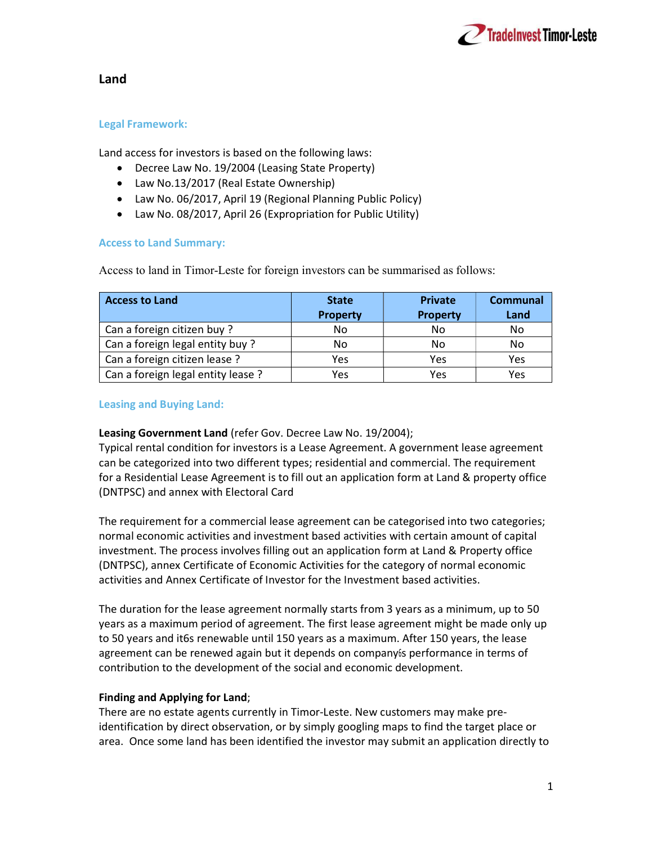

# Land

# Legal Framework:

Land access for investors is based on the following laws:

- Decree Law No. 19/2004 (Leasing State Property)
- Law No.13/2017 (Real Estate Ownership)
- Law No. 06/2017, April 19 (Regional Planning Public Policy)
- Law No. 08/2017, April 26 (Expropriation for Public Utility)

### Access to Land Summary:

Access to land in Timor-Leste for foreign investors can be summarised as follows:

| <b>Access to Land</b>              | <b>State</b>    | <b>Private</b>  | Communal |
|------------------------------------|-----------------|-----------------|----------|
|                                    | <b>Property</b> | <b>Property</b> | Land     |
| Can a foreign citizen buy ?        | No              | No              | No       |
| Can a foreign legal entity buy?    | No              | No              | No       |
| Can a foreign citizen lease ?      | Yes             | Yes             | Yes      |
| Can a foreign legal entity lease ? | Yes             | Yes             | Yes      |

### Leasing and Buying Land:

#### Leasing Government Land (refer Gov. Decree Law No. 19/2004);

Typical rental condition for investors is a Lease Agreement. A government lease agreement can be categorized into two different types; residential and commercial. The requirement for a Residential Lease Agreement is to fill out an application form at Land & property office (DNTPSC) and annex with Electoral Card

The requirement for a commercial lease agreement can be categorised into two categories; normal economic activities and investment based activities with certain amount of capital investment. The process involves filling out an application form at Land & Property office (DNTPSC), annex Certificate of Economic Activities for the category of normal economic activities and Annex Certificate of Investor for the Investment based activities.

The duration for the lease agreement normally starts from 3 years as a minimum, up to 50 years as a maximum period of agreement. The first lease agreement might be made only up to 50 years and it6s renewable until 150 years as a maximum. After 150 years, the lease agreement can be renewed again but it depends on company6s performance in terms of contribution to the development of the social and economic development.

# Finding and Applying for Land;

There are no estate agents currently in Timor-Leste. New customers may make preidentification by direct observation, or by simply googling maps to find the target place or area. Once some land has been identified the investor may submit an application directly to